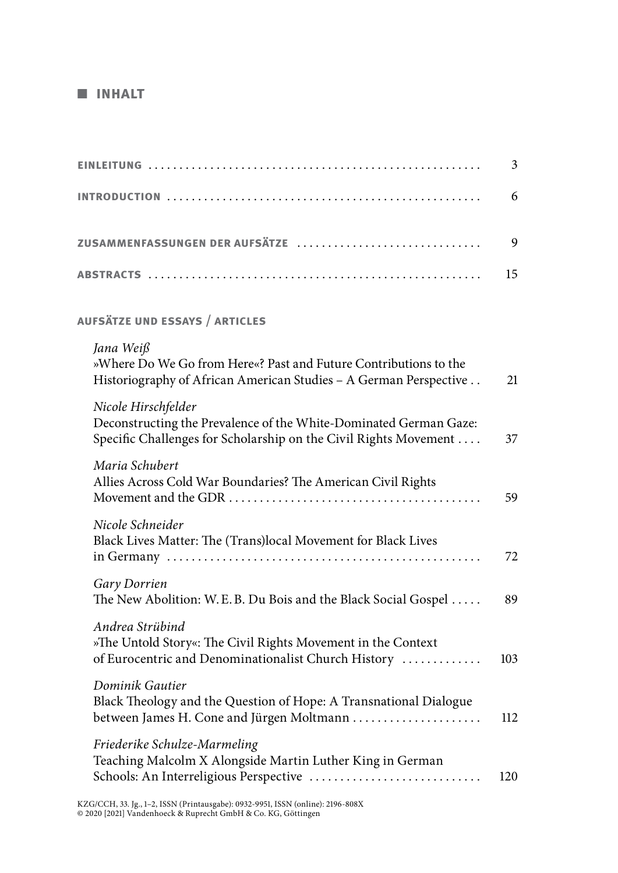## ■ **inhalt**

|                                                                                                                                                              | 3   |
|--------------------------------------------------------------------------------------------------------------------------------------------------------------|-----|
|                                                                                                                                                              | 6   |
| ZUSAMMENFASSUNGEN DER AUFSÄTZE                                                                                                                               | 9   |
|                                                                                                                                                              | 15  |
| <b>AUFSÄTZE UND ESSAYS / ARTICLES</b>                                                                                                                        |     |
| Jana Weiß<br>»Where Do We Go from Here«? Past and Future Contributions to the<br>Historiography of African American Studies - A German Perspective           | 21  |
| Nicole Hirschfelder<br>Deconstructing the Prevalence of the White-Dominated German Gaze:<br>Specific Challenges for Scholarship on the Civil Rights Movement | 37  |
| Maria Schubert<br>Allies Across Cold War Boundaries? The American Civil Rights                                                                               | 59  |
| Nicole Schneider<br>Black Lives Matter: The (Trans)local Movement for Black Lives                                                                            | 72  |
| Gary Dorrien<br>The New Abolition: W.E.B. Du Bois and the Black Social Gospel                                                                                | 89  |
| Andrea Strübind<br>»The Untold Story«: The Civil Rights Movement in the Context<br>of Eurocentric and Denominationalist Church History                       | 103 |
| Dominik Gautier<br>Black Theology and the Question of Hope: A Transnational Dialogue<br>between James H. Cone and Jürgen Moltmann                            | 112 |
| Friederike Schulze-Marmeling<br>Teaching Malcolm X Alongside Martin Luther King in German<br>Schools: An Interreligious Perspective                          | 120 |
|                                                                                                                                                              |     |